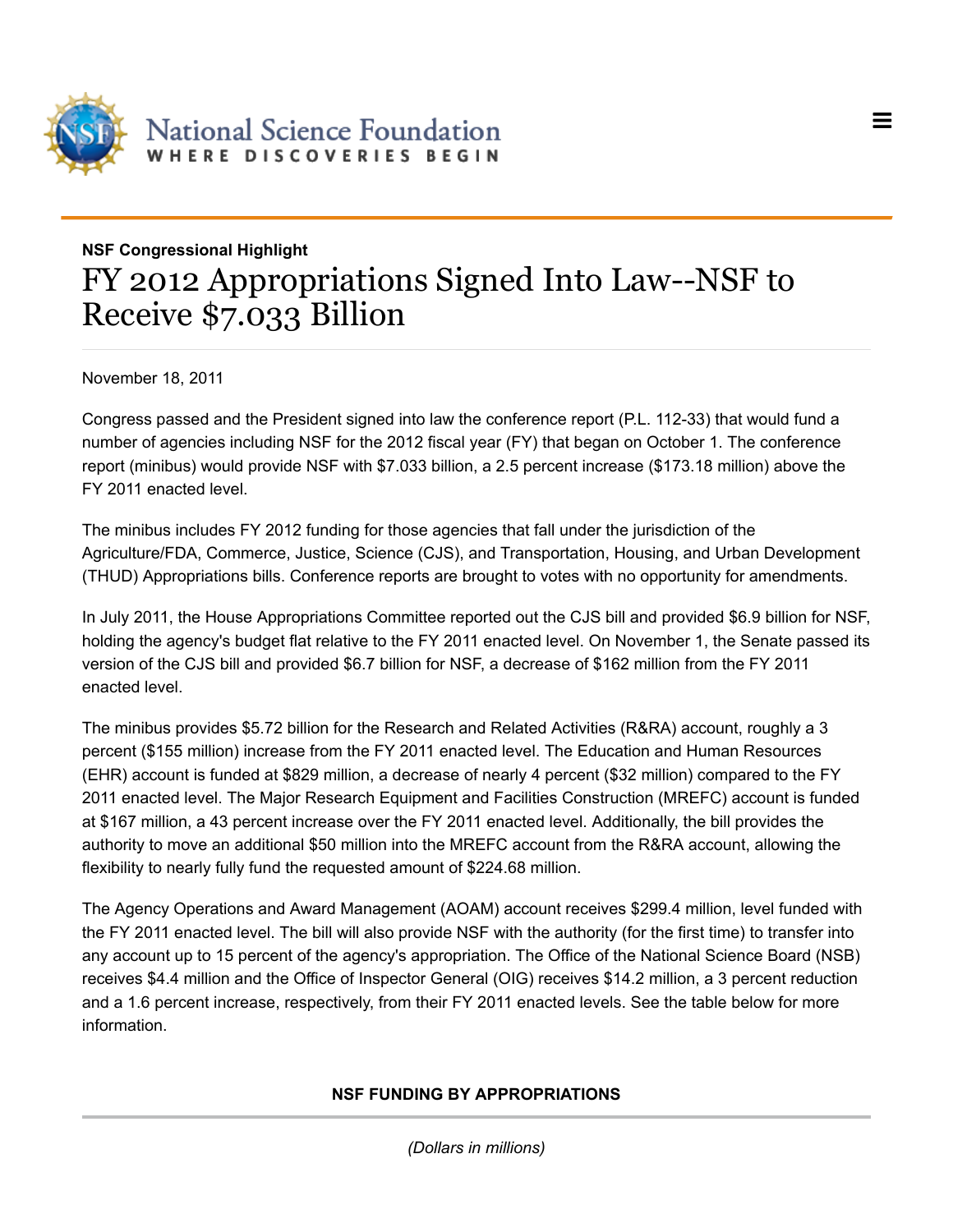

## **NSF Congressional Highlight** FY 2012 Appropriations Signed Into Law--NSF to Receive \$7.033 Billion

=

November 18, 2011

Congress passed and the President signed into law the conference report (P.L. 112-33) that would fund a number of agencies including NSF for the 2012 fiscal year (FY) that began on October 1. The conference report (minibus) would provide NSF with \$7.033 billion, a 2.5 percent increase (\$173.18 million) above the FY 2011 enacted level.

The minibus includes FY 2012 funding for those agencies that fall under the jurisdiction of the Agriculture/FDA, Commerce, Justice, Science (CJS), and Transportation, Housing, and Urban Development (THUD) Appropriations bills. Conference reports are brought to votes with no opportunity for amendments.

In July 2011, the House Appropriations Committee reported out the CJS bill and provided \$6.9 billion for NSF, holding the agency's budget flat relative to the FY 2011 enacted level. On November 1, the Senate passed its version of the CJS bill and provided \$6.7 billion for NSF, a decrease of \$162 million from the FY 2011 enacted level.

The minibus provides \$5.72 billion for the Research and Related Activities (R&RA) account, roughly a 3 percent (\$155 million) increase from the FY 2011 enacted level. The Education and Human Resources (EHR) account is funded at \$829 million, a decrease of nearly 4 percent (\$32 million) compared to the FY 2011 enacted level. The Major Research Equipment and Facilities Construction (MREFC) account is funded at \$167 million, a 43 percent increase over the FY 2011 enacted level. Additionally, the bill provides the authority to move an additional \$50 million into the MREFC account from the R&RA account, allowing the flexibility to nearly fully fund the requested amount of \$224.68 million.

The Agency Operations and Award Management (AOAM) account receives \$299.4 million, level funded with the FY 2011 enacted level. The bill will also provide NSF with the authority (for the first time) to transfer into any account up to 15 percent of the agency's appropriation. The Office of the National Science Board (NSB) receives \$4.4 million and the Office of Inspector General (OIG) receives \$14.2 million, a 3 percent reduction and a 1.6 percent increase, respectively, from their FY 2011 enacted levels. See the table below for more information.

## **NSF FUNDING BY APPROPRIATIONS**